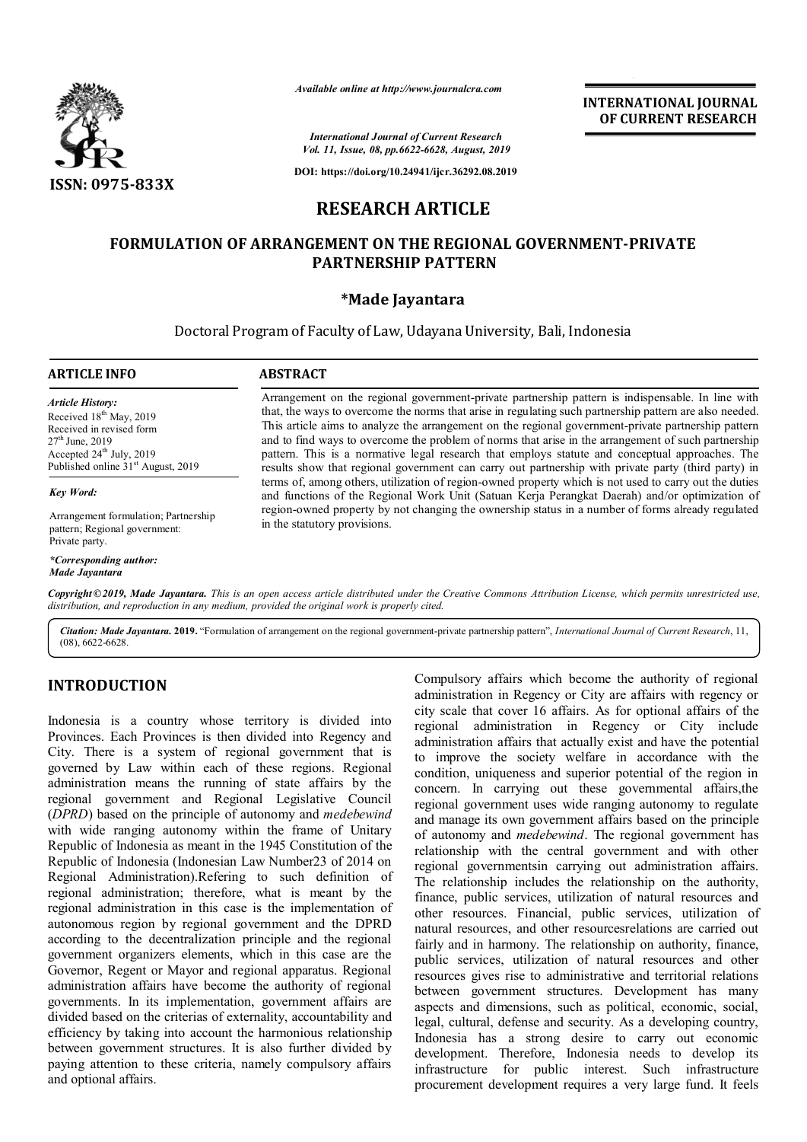

*Available online at http://www.journalcra.com*

*International Journal of Current Research Vol. 11, Issue, 08, pp.6622-6628, August, 2019*

**DOI: https://doi.org/10.24941/ijcr.36292.08.2019**

# **RESEARCH ARTICLE**

## **FORMULATION OF ARRANGEMENT ON THE REGIONAL GOVERNMENT-PRIVATE PARTNERSHIP PATTERN**

### **\*Made Jayantara**

Doctoral Program of Faculty of Law, Udayana University, Bali, Indonesia

#### **ARTICLE INFO ABSTRACT**

*Article History:* Received 18<sup>th</sup> May, 2019 Received in revised form  $27<sup>th</sup>$  June, 2019 Accepted  $24<sup>th</sup>$  July, 2019 Published online  $31<sup>st</sup>$  August, 2019

*Key Word:*

Private party.

Arrangement on the regional government-private partnership pattern is indispensable. In line with that, the ways to overcome the norms that arise in regulating such partnership pattern are also needed. This article aims to analyze the arrangement on the regional government-private partnership pattern and to find ways to overcome the problem of norms that arise in the arrangement of such partnership pattern. This is a normative legal research that employs statute and conceptual approaches. The results show that regional government can carry out partnership with private party (third party) in terms of, among others, utilization of region-owned property which is not used to carry out the duties and functions of the Regional Work Unit (Satuan Kerja Perangkat Daerah) and/or optimization of region-owned property by not changing the ownership status in a number of forms already regulated in the statutory provisions.

**INTERNATIONAL JOURNAL OF CURRENT RESEARCH**

Copyright©2019, Made Jayantara. This is an open access article distributed under the Creative Commons Attribution License, which permits unrestricted use, *Made Jayantara*

*distribution, and reproduction in any medium, provided the original work is properly cited.*

*Citation: Made Jayantara.* **2019.** "Formulation of arrangement on the regional government-private partnership pattern", *International Journal of Current Research*, 11, (08), 6622-6628.

## **INTRODUCTION**

*\*Corresponding author:* 

Arrangement formulation; Partnership pattern; Regional government:

Indonesia is a country whose territory is divided into Provinces. Each Provinces is then divided into Regency and City. There is a system of regional government that is governed by Law within each of these regions. Regional administration means the running of state affairs by the regional government and Regional Legislative Council (*DPRD*) based on the principle of autonomy and *medebewind* with wide ranging autonomy within the frame of Unitary Republic of Indonesia as meant in the 1945 Constitution of the Republic of Indonesia (Indonesian Law Number23 of 2014 on Regional Administration).Refering to such definition of regional administration; therefore, what is meant by the regional administration in this case is the implementation of autonomous region by regional government and the DPRD according to the decentralization principle and the regional government organizers elements, which in this case are the Governor, Regent or Mayor and regional apparatus. Regional administration affairs have become the authority of regional governments. In its implementation, government affairs are divided based on the criterias of externality, accountability and efficiency by taking into account the harmonious relationship between government structures. It is also further divided by paying attention to these criteria, namely compulsory affairs and optional affairs.

Compulsory affairs which become the authority of regional administration in Regency or City are affairs with regency or city scale that cover 16 affairs. As for optional affairs of the regional administration in Regency or City include administration affairs that actually exist and have the potential to improve the society welfare in accordance with the condition, uniqueness and superior potential of the region in concern. In carrying out these governmental affairs,the regional government uses wide ranging autonomy to regulate and manage its own government affairs based on the principle of autonomy and *medebewind*. The regional government has relationship with the central government and with other regional governmentsin carrying out administration affairs. The relationship includes the relationship on the authority, finance, public services, utilization of natural resources and other resources. Financial, public services, utilization of natural resources, and other resourcesrelations are carried out fairly and in harmony. The relationship on authority, finance, public services, utilization of natural resources and other resources gives rise to administrative and territorial relations between government structures. Development has many aspects and dimensions, such as political, economic, social, legal, cultural, defense and security. As a developing country, Indonesia has a strong desire to carry out economic development. Therefore, Indonesia needs to develop its infrastructure for public interest. Such infrastructure procurement development requires a very large fund. It feels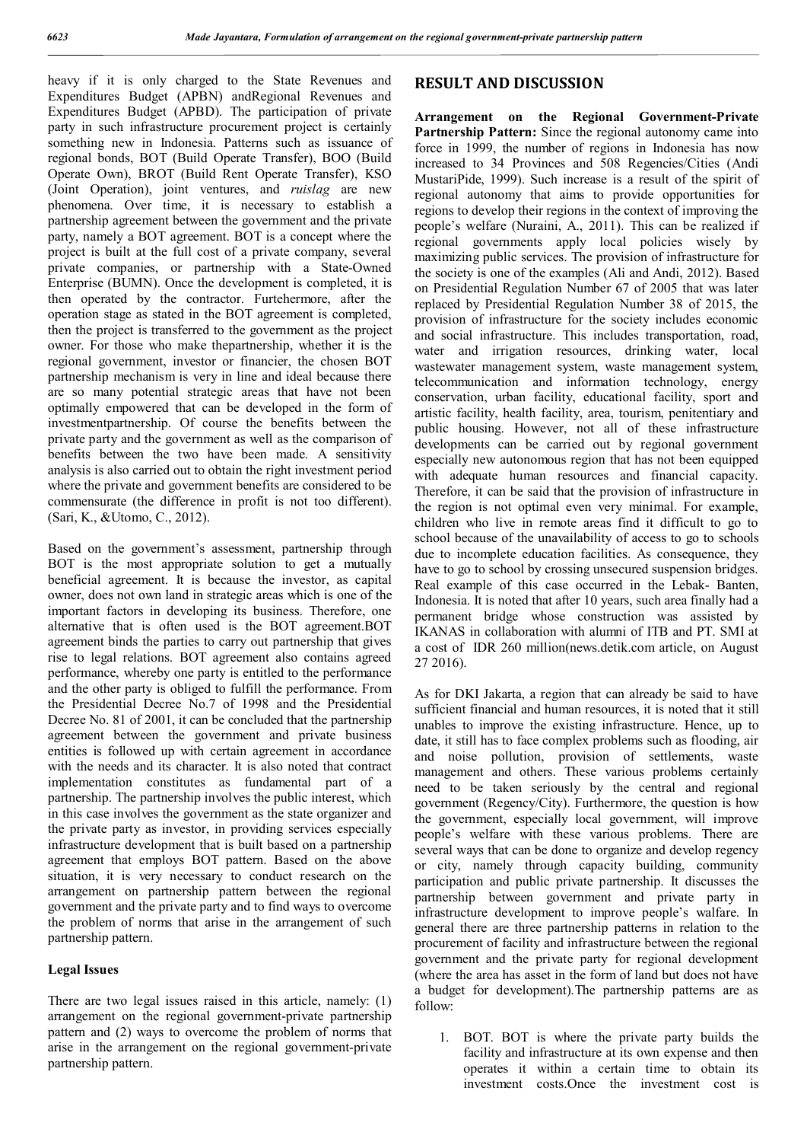heavy if it is only charged to the State Revenues and Expenditures Budget (APBN) andRegional Revenues and Expenditures Budget (APBD). The participation of private party in such infrastructure procurement project is certainly something new in Indonesia. Patterns such as issuance of regional bonds, BOT (Build Operate Transfer), BOO (Build Operate Own), BROT (Build Rent Operate Transfer), KSO (Joint Operation), joint ventures, and *ruislag* are new phenomena. Over time, it is necessary to establish a partnership agreement between the government and the private party, namely a BOT agreement. BOT is a concept where the project is built at the full cost of a private company, several private companies, or partnership with a State-Owned Enterprise (BUMN). Once the development is completed, it is then operated by the contractor. Furtehermore, after the operation stage as stated in the BOT agreement is completed, then the project is transferred to the government as the project owner. For those who make thepartnership, whether it is the regional government, investor or financier, the chosen BOT partnership mechanism is very in line and ideal because there are so many potential strategic areas that have not been optimally empowered that can be developed in the form of investmentpartnership. Of course the benefits between the private party and the government as well as the comparison of benefits between the two have been made. A sensitivity analysis is also carried out to obtain the right investment period where the private and government benefits are considered to be commensurate (the difference in profit is not too different). (Sari, K., &Utomo, C., 2012).

Based on the government's assessment, partnership through BOT is the most appropriate solution to get a mutually beneficial agreement. It is because the investor, as capital owner, does not own land in strategic areas which is one of the important factors in developing its business. Therefore, one alternative that is often used is the BOT agreement.BOT agreement binds the parties to carry out partnership that gives rise to legal relations. BOT agreement also contains agreed performance, whereby one party is entitled to the performance and the other party is obliged to fulfill the performance. From the Presidential Decree No.7 of 1998 and the Presidential Decree No. 81 of 2001, it can be concluded that the partnership agreement between the government and private business entities is followed up with certain agreement in accordance with the needs and its character. It is also noted that contract implementation constitutes as fundamental part of a partnership. The partnership involves the public interest, which in this case involves the government as the state organizer and the private party as investor, in providing services especially infrastructure development that is built based on a partnership agreement that employs BOT pattern. Based on the above situation, it is very necessary to conduct research on the arrangement on partnership pattern between the regional government and the private party and to find ways to overcome the problem of norms that arise in the arrangement of such partnership pattern.

#### **Legal Issues**

There are two legal issues raised in this article, namely: (1) arrangement on the regional government-private partnership pattern and (2) ways to overcome the problem of norms that arise in the arrangement on the regional government-private partnership pattern.

## **RESULT AND DISCUSSION**

**Arrangement on the Regional Government-Private Partnership Pattern:** Since the regional autonomy came into force in 1999, the number of regions in Indonesia has now increased to 34 Provinces and 508 Regencies/Cities (Andi MustariPide, 1999). Such increase is a result of the spirit of regional autonomy that aims to provide opportunities for regions to develop their regions in the context of improving the people's welfare (Nuraini, A., 2011). This can be realized if regional governments apply local policies wisely by maximizing public services. The provision of infrastructure for the society is one of the examples (Ali and Andi, 2012). Based on Presidential Regulation Number 67 of 2005 that was later replaced by Presidential Regulation Number 38 of 2015, the provision of infrastructure for the society includes economic and social infrastructure. This includes transportation, road, water and irrigation resources, drinking water, local wastewater management system, waste management system, telecommunication and information technology, energy conservation, urban facility, educational facility, sport and artistic facility, health facility, area, tourism, penitentiary and public housing. However, not all of these infrastructure developments can be carried out by regional government especially new autonomous region that has not been equipped with adequate human resources and financial capacity. Therefore, it can be said that the provision of infrastructure in the region is not optimal even very minimal. For example, children who live in remote areas find it difficult to go to school because of the unavailability of access to go to schools due to incomplete education facilities. As consequence, they have to go to school by crossing unsecured suspension bridges. Real example of this case occurred in the Lebak- Banten, Indonesia. It is noted that after 10 years, such area finally had a permanent bridge whose construction was assisted by IKANAS in collaboration with alumni of ITB and PT. SMI at a cost of IDR 260 million(news.detik.com article, on August 27 2016).

As for DKI Jakarta, a region that can already be said to have sufficient financial and human resources, it is noted that it still unables to improve the existing infrastructure. Hence, up to date, it still has to face complex problems such as flooding, air and noise pollution, provision of settlements, waste management and others. These various problems certainly need to be taken seriously by the central and regional government (Regency/City). Furthermore, the question is how the government, especially local government, will improve people's welfare with these various problems. There are several ways that can be done to organize and develop regency or city, namely through capacity building, community participation and public private partnership. It discusses the partnership between government and private party in infrastructure development to improve people's walfare. In general there are three partnership patterns in relation to the procurement of facility and infrastructure between the regional government and the private party for regional development (where the area has asset in the form of land but does not have a budget for development).The partnership patterns are as follow:

1. BOT. BOT is where the private party builds the facility and infrastructure at its own expense and then operates it within a certain time to obtain its investment costs.Once the investment cost is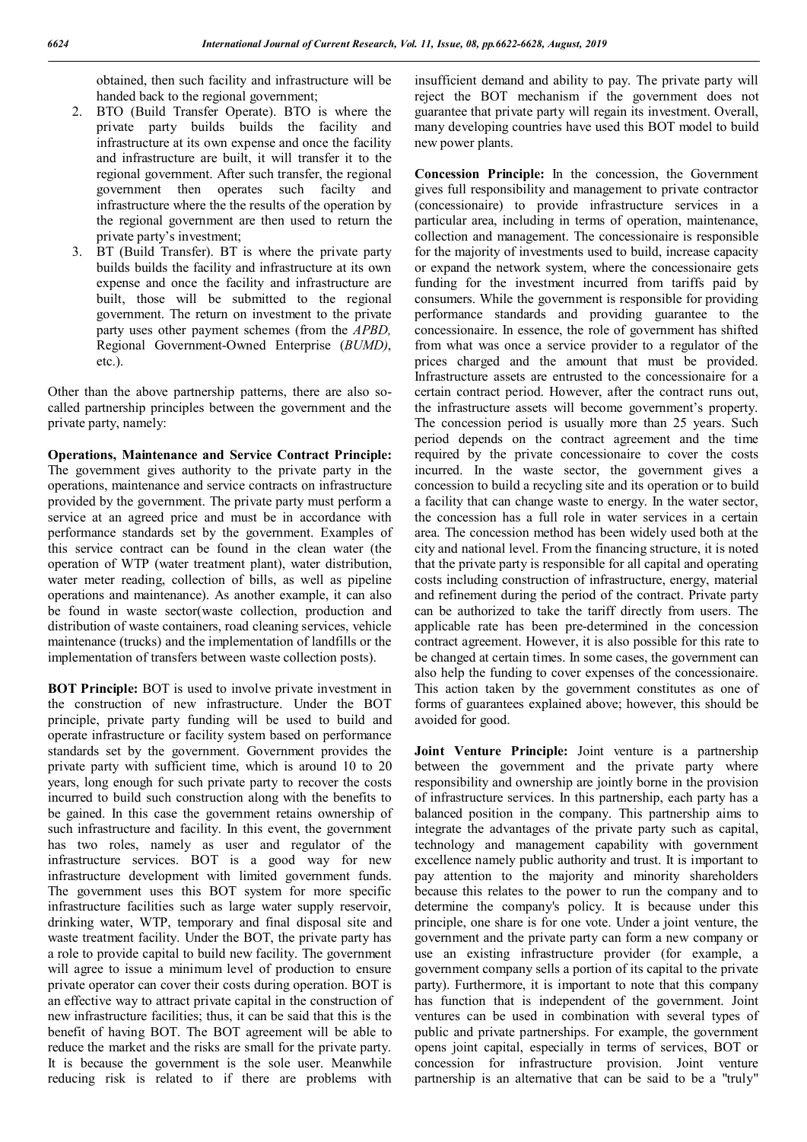obtained, then such facility and infrastructure will be handed back to the regional government;

- 2. BTO (Build Transfer Operate). BTO is where the private party builds builds the facility and infrastructure at its own expense and once the facility and infrastructure are built, it will transfer it to the regional government. After such transfer, the regional government then operates such facilty and infrastructure where the the results of the operation by the regional government are then used to return the private party's investment;
- 3. BT (Build Transfer). BT is where the private party builds builds the facility and infrastructure at its own expense and once the facility and infrastructure are built, those will be submitted to the regional government. The return on investment to the private party uses other payment schemes (from the *APBD,*  Regional Government-Owned Enterprise (*BUMD)*, etc.).

Other than the above partnership patterns, there are also socalled partnership principles between the government and the private party, namely:

**Operations, Maintenance and Service Contract Principle:**  The government gives authority to the private party in the operations, maintenance and service contracts on infrastructure provided by the government. The private party must perform a service at an agreed price and must be in accordance with performance standards set by the government. Examples of this service contract can be found in the clean water (the operation of WTP (water treatment plant), water distribution, water meter reading, collection of bills, as well as pipeline operations and maintenance). As another example, it can also be found in waste sector(waste collection, production and distribution of waste containers, road cleaning services, vehicle maintenance (trucks) and the implementation of landfills or the implementation of transfers between waste collection posts).

**BOT Principle:** BOT is used to involve private investment in the construction of new infrastructure. Under the BOT principle, private party funding will be used to build and operate infrastructure or facility system based on performance standards set by the government. Government provides the private party with sufficient time, which is around 10 to 20 years, long enough for such private party to recover the costs incurred to build such construction along with the benefits to be gained. In this case the government retains ownership of such infrastructure and facility. In this event, the government has two roles, namely as user and regulator of the infrastructure services. BOT is a good way for new infrastructure development with limited government funds. The government uses this BOT system for more specific infrastructure facilities such as large water supply reservoir, drinking water, WTP, temporary and final disposal site and waste treatment facility. Under the BOT, the private party has a role to provide capital to build new facility. The government will agree to issue a minimum level of production to ensure private operator can cover their costs during operation. BOT is an effective way to attract private capital in the construction of new infrastructure facilities; thus, it can be said that this is the benefit of having BOT. The BOT agreement will be able to reduce the market and the risks are small for the private party. It is because the government is the sole user. Meanwhile reducing risk is related to if there are problems with

insufficient demand and ability to pay. The private party will reject the BOT mechanism if the government does not guarantee that private party will regain its investment. Overall, many developing countries have used this BOT model to build new power plants.

**Concession Principle:** In the concession, the Government gives full responsibility and management to private contractor (concessionaire) to provide infrastructure services in a particular area, including in terms of operation, maintenance, collection and management. The concessionaire is responsible for the majority of investments used to build, increase capacity or expand the network system, where the concessionaire gets funding for the investment incurred from tariffs paid by consumers. While the government is responsible for providing performance standards and providing guarantee to the concessionaire. In essence, the role of government has shifted from what was once a service provider to a regulator of the prices charged and the amount that must be provided. Infrastructure assets are entrusted to the concessionaire for a certain contract period. However, after the contract runs out, the infrastructure assets will become government's property. The concession period is usually more than 25 years. Such period depends on the contract agreement and the time required by the private concessionaire to cover the costs incurred. In the waste sector, the government gives a concession to build a recycling site and its operation or to build a facility that can change waste to energy. In the water sector, the concession has a full role in water services in a certain area. The concession method has been widely used both at the city and national level. From the financing structure, it is noted that the private party is responsible for all capital and operating costs including construction of infrastructure, energy, material and refinement during the period of the contract. Private party can be authorized to take the tariff directly from users. The applicable rate has been pre-determined in the concession contract agreement. However, it is also possible for this rate to be changed at certain times. In some cases, the government can also help the funding to cover expenses of the concessionaire. This action taken by the government constitutes as one of forms of guarantees explained above; however, this should be avoided for good.

**Joint Venture Principle:** Joint venture is a partnership between the government and the private party where responsibility and ownership are jointly borne in the provision of infrastructure services. In this partnership, each party has a balanced position in the company. This partnership aims to integrate the advantages of the private party such as capital, technology and management capability with government excellence namely public authority and trust. It is important to pay attention to the majority and minority shareholders because this relates to the power to run the company and to determine the company's policy. It is because under this principle, one share is for one vote. Under a joint venture, the government and the private party can form a new company or use an existing infrastructure provider (for example, a government company sells a portion of its capital to the private party). Furthermore, it is important to note that this company has function that is independent of the government. Joint ventures can be used in combination with several types of public and private partnerships. For example, the government opens joint capital, especially in terms of services, BOT or concession for infrastructure provision. Joint venture partnership is an alternative that can be said to be a "truly"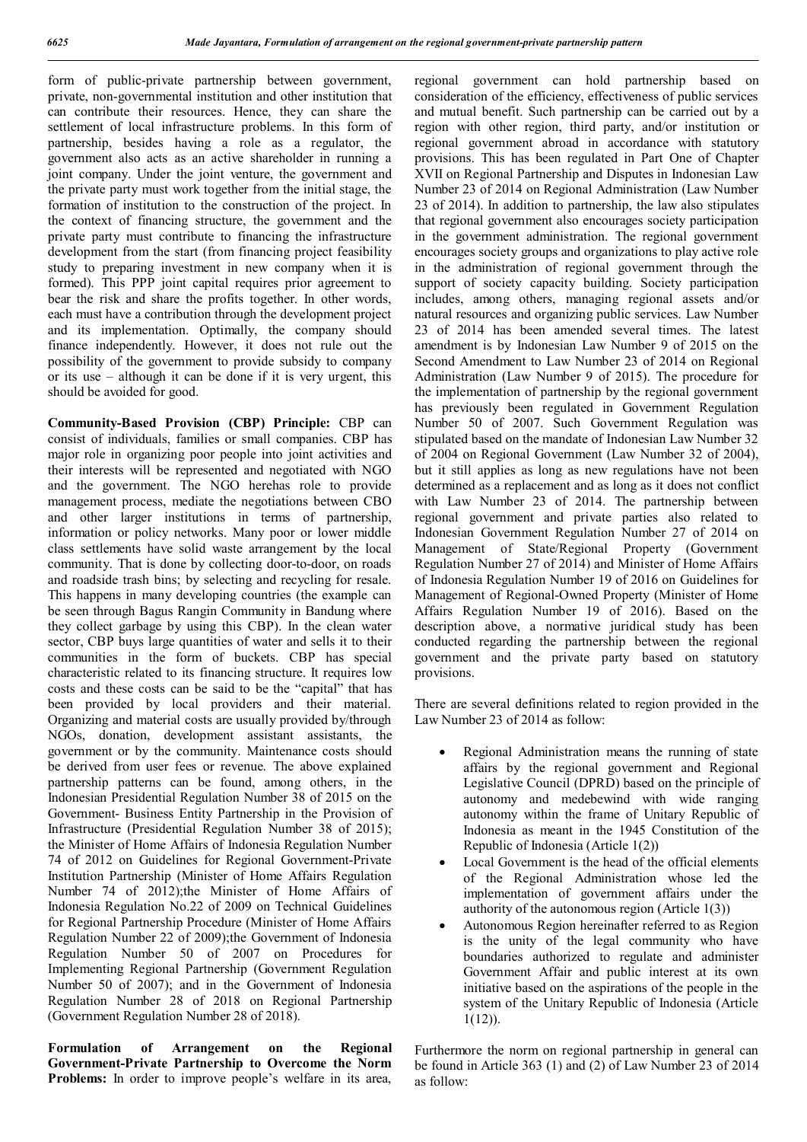form of public-private partnership between government, private, non-governmental institution and other institution that can contribute their resources. Hence, they can share the settlement of local infrastructure problems. In this form of partnership, besides having a role as a regulator, the government also acts as an active shareholder in running a joint company. Under the joint venture, the government and the private party must work together from the initial stage, the formation of institution to the construction of the project. In the context of financing structure, the government and the private party must contribute to financing the infrastructure development from the start (from financing project feasibility study to preparing investment in new company when it is formed). This PPP joint capital requires prior agreement to bear the risk and share the profits together. In other words, each must have a contribution through the development project and its implementation. Optimally, the company should finance independently. However, it does not rule out the possibility of the government to provide subsidy to company or its use – although it can be done if it is very urgent, this should be avoided for good.

**Community-Based Provision (CBP) Principle:** CBP can consist of individuals, families or small companies. CBP has major role in organizing poor people into joint activities and their interests will be represented and negotiated with NGO and the government. The NGO herehas role to provide management process, mediate the negotiations between CBO and other larger institutions in terms of partnership, information or policy networks. Many poor or lower middle class settlements have solid waste arrangement by the local community. That is done by collecting door-to-door, on roads and roadside trash bins; by selecting and recycling for resale. This happens in many developing countries (the example can be seen through Bagus Rangin Community in Bandung where they collect garbage by using this CBP). In the clean water sector, CBP buys large quantities of water and sells it to their communities in the form of buckets. CBP has special characteristic related to its financing structure. It requires low costs and these costs can be said to be the "capital" that has been provided by local providers and their material. Organizing and material costs are usually provided by/through NGOs, donation, development assistant assistants, the government or by the community. Maintenance costs should be derived from user fees or revenue. The above explained partnership patterns can be found, among others, in the Indonesian Presidential Regulation Number 38 of 2015 on the Government- Business Entity Partnership in the Provision of Infrastructure (Presidential Regulation Number 38 of 2015); the Minister of Home Affairs of Indonesia Regulation Number 74 of 2012 on Guidelines for Regional Government-Private Institution Partnership (Minister of Home Affairs Regulation Number 74 of 2012);the Minister of Home Affairs of Indonesia Regulation No.22 of 2009 on Technical Guidelines for Regional Partnership Procedure (Minister of Home Affairs Regulation Number 22 of 2009);the Government of Indonesia Regulation Number 50 of 2007 on Procedures for Implementing Regional Partnership (Government Regulation Number 50 of 2007); and in the Government of Indonesia Regulation Number 28 of 2018 on Regional Partnership (Government Regulation Number 28 of 2018).

**Formulation of Arrangement on the Regional Government-Private Partnership to Overcome the Norm Problems:** In order to improve people's welfare in its area,

regional government can hold partnership based on consideration of the efficiency, effectiveness of public services and mutual benefit. Such partnership can be carried out by a region with other region, third party, and/or institution or regional government abroad in accordance with statutory provisions. This has been regulated in Part One of Chapter XVII on Regional Partnership and Disputes in Indonesian Law Number 23 of 2014 on Regional Administration (Law Number 23 of 2014). In addition to partnership, the law also stipulates that regional government also encourages society participation in the government administration. The regional government encourages society groups and organizations to play active role in the administration of regional government through the support of society capacity building. Society participation includes, among others, managing regional assets and/or natural resources and organizing public services. Law Number 23 of 2014 has been amended several times. The latest amendment is by Indonesian Law Number 9 of 2015 on the Second Amendment to Law Number 23 of 2014 on Regional Administration (Law Number 9 of 2015). The procedure for the implementation of partnership by the regional government has previously been regulated in Government Regulation Number 50 of 2007. Such Government Regulation was stipulated based on the mandate of Indonesian Law Number 32 of 2004 on Regional Government (Law Number 32 of 2004), but it still applies as long as new regulations have not been determined as a replacement and as long as it does not conflict with Law Number 23 of 2014. The partnership between regional government and private parties also related to Indonesian Government Regulation Number 27 of 2014 on Management of State/Regional Property (Government Regulation Number 27 of 2014) and Minister of Home Affairs of Indonesia Regulation Number 19 of 2016 on Guidelines for Management of Regional-Owned Property (Minister of Home Affairs Regulation Number 19 of 2016). Based on the description above, a normative juridical study has been conducted regarding the partnership between the regional government and the private party based on statutory provisions.

There are several definitions related to region provided in the Law Number 23 of 2014 as follow:

- Regional Administration means the running of state affairs by the regional government and Regional Legislative Council (DPRD) based on the principle of autonomy and medebewind with wide ranging autonomy within the frame of Unitary Republic of Indonesia as meant in the 1945 Constitution of the Republic of Indonesia (Article 1(2))
- Local Government is the head of the official elements of the Regional Administration whose led the implementation of government affairs under the authority of the autonomous region (Article 1(3))
- Autonomous Region hereinafter referred to as Region is the unity of the legal community who have boundaries authorized to regulate and administer Government Affair and public interest at its own initiative based on the aspirations of the people in the system of the Unitary Republic of Indonesia (Article 1(12)).

Furthermore the norm on regional partnership in general can be found in Article 363 (1) and (2) of Law Number 23 of 2014 as follow: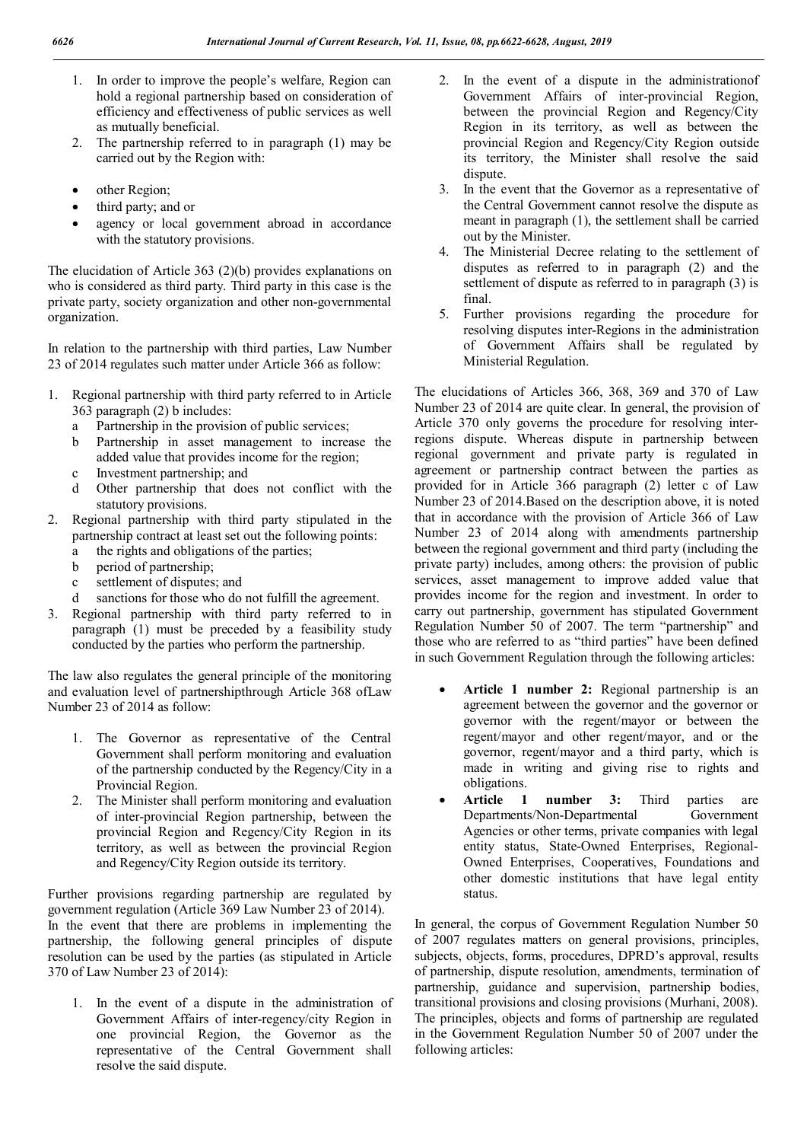- 1. In order to improve the people's welfare, Region can hold a regional partnership based on consideration of efficiency and effectiveness of public services as well as mutually beneficial.
- 2. The partnership referred to in paragraph (1) may be carried out by the Region with:
- other Region;
- third party; and or
- agency or local government abroad in accordance with the statutory provisions.

The elucidation of Article 363 (2)(b) provides explanations on who is considered as third party. Third party in this case is the private party, society organization and other non-governmental organization.

In relation to the partnership with third parties, Law Number 23 of 2014 regulates such matter under Article 366 as follow:

- 1. Regional partnership with third party referred to in Article 363 paragraph (2) b includes:
	- a Partnership in the provision of public services;
	- b Partnership in asset management to increase the added value that provides income for the region;
	- c Investment partnership; and
	- d Other partnership that does not conflict with the statutory provisions.
- 2. Regional partnership with third party stipulated in the partnership contract at least set out the following points:
	- a the rights and obligations of the parties;
	- b period of partnership;
	- c settlement of disputes; and
	- d sanctions for those who do not fulfill the agreement.
- 3. Regional partnership with third party referred to in paragraph (1) must be preceded by a feasibility study conducted by the parties who perform the partnership.

The law also regulates the general principle of the monitoring and evaluation level of partnershipthrough Article 368 ofLaw Number 23 of 2014 as follow:

- 1. The Governor as representative of the Central Government shall perform monitoring and evaluation of the partnership conducted by the Regency/City in a Provincial Region.
- 2. The Minister shall perform monitoring and evaluation of inter-provincial Region partnership, between the provincial Region and Regency/City Region in its territory, as well as between the provincial Region and Regency/City Region outside its territory.

Further provisions regarding partnership are regulated by government regulation (Article 369 Law Number 23 of 2014). In the event that there are problems in implementing the partnership, the following general principles of dispute resolution can be used by the parties (as stipulated in Article 370 of Law Number 23 of 2014):

1. In the event of a dispute in the administration of Government Affairs of inter-regency/city Region in one provincial Region, the Governor as the representative of the Central Government shall resolve the said dispute.

- 2. In the event of a dispute in the administrationof Government Affairs of inter-provincial Region, between the provincial Region and Regency/City Region in its territory, as well as between the provincial Region and Regency/City Region outside its territory, the Minister shall resolve the said dispute
- 3. In the event that the Governor as a representative of the Central Government cannot resolve the dispute as meant in paragraph (1), the settlement shall be carried out by the Minister.
- 4. The Ministerial Decree relating to the settlement of disputes as referred to in paragraph (2) and the settlement of dispute as referred to in paragraph (3) is final.
- 5. Further provisions regarding the procedure for resolving disputes inter-Regions in the administration of Government Affairs shall be regulated by Ministerial Regulation.

The elucidations of Articles 366, 368, 369 and 370 of Law Number 23 of 2014 are quite clear. In general, the provision of Article 370 only governs the procedure for resolving interregions dispute. Whereas dispute in partnership between regional government and private party is regulated in agreement or partnership contract between the parties as provided for in Article 366 paragraph (2) letter c of Law Number 23 of 2014.Based on the description above, it is noted that in accordance with the provision of Article 366 of Law Number 23 of 2014 along with amendments partnership between the regional government and third party (including the private party) includes, among others: the provision of public services, asset management to improve added value that provides income for the region and investment. In order to carry out partnership, government has stipulated Government Regulation Number 50 of 2007. The term "partnership" and those who are referred to as "third parties" have been defined in such Government Regulation through the following articles:

- **Article 1 number 2:** Regional partnership is an agreement between the governor and the governor or governor with the regent/mayor or between the regent/mayor and other regent/mayor, and or the governor, regent/mayor and a third party, which is made in writing and giving rise to rights and obligations.
- **Article 1 number 3:** Third parties are Departments/Non-Departmental Government Agencies or other terms, private companies with legal entity status, State-Owned Enterprises, Regional-Owned Enterprises, Cooperatives, Foundations and other domestic institutions that have legal entity status.

In general, the corpus of Government Regulation Number 50 of 2007 regulates matters on general provisions, principles, subjects, objects, forms, procedures, DPRD's approval, results of partnership, dispute resolution, amendments, termination of partnership, guidance and supervision, partnership bodies, transitional provisions and closing provisions (Murhani, 2008). The principles, objects and forms of partnership are regulated in the Government Regulation Number 50 of 2007 under the following articles: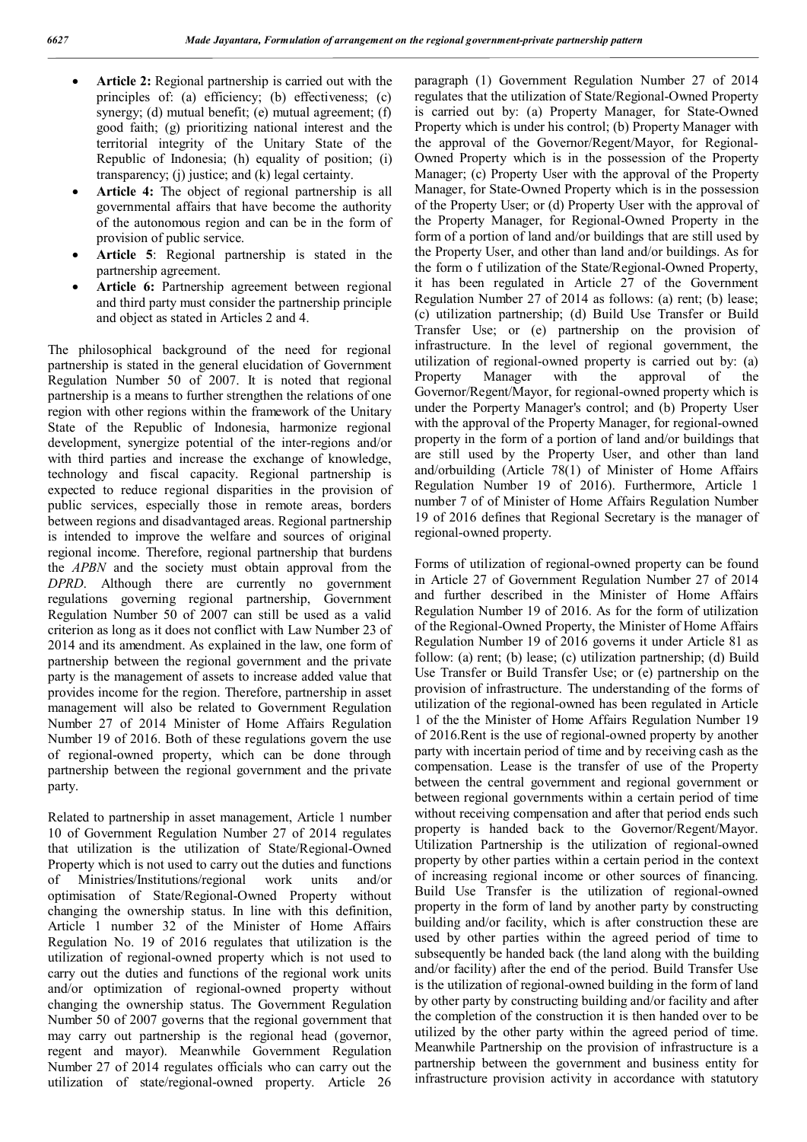- **Article 2:** Regional partnership is carried out with the principles of: (a) efficiency; (b) effectiveness; (c) synergy; (d) mutual benefit; (e) mutual agreement; (f) good faith; (g) prioritizing national interest and the territorial integrity of the Unitary State of the Republic of Indonesia; (h) equality of position; (i) transparency; (j) justice; and (k) legal certainty.
- **Article 4:** The object of regional partnership is all governmental affairs that have become the authority of the autonomous region and can be in the form of provision of public service.
- **Article 5**: Regional partnership is stated in the partnership agreement.
- **Article 6:** Partnership agreement between regional and third party must consider the partnership principle and object as stated in Articles 2 and 4.

The philosophical background of the need for regional partnership is stated in the general elucidation of Government Regulation Number 50 of 2007. It is noted that regional partnership is a means to further strengthen the relations of one region with other regions within the framework of the Unitary State of the Republic of Indonesia, harmonize regional development, synergize potential of the inter-regions and/or with third parties and increase the exchange of knowledge, technology and fiscal capacity. Regional partnership is expected to reduce regional disparities in the provision of public services, especially those in remote areas, borders between regions and disadvantaged areas. Regional partnership is intended to improve the welfare and sources of original regional income. Therefore, regional partnership that burdens the *APBN* and the society must obtain approval from the *DPRD*. Although there are currently no government regulations governing regional partnership, Government Regulation Number 50 of 2007 can still be used as a valid criterion as long as it does not conflict with Law Number 23 of 2014 and its amendment. As explained in the law, one form of partnership between the regional government and the private party is the management of assets to increase added value that provides income for the region. Therefore, partnership in asset management will also be related to Government Regulation Number 27 of 2014 Minister of Home Affairs Regulation Number 19 of 2016. Both of these regulations govern the use of regional-owned property, which can be done through partnership between the regional government and the private party.

Related to partnership in asset management, Article 1 number 10 of Government Regulation Number 27 of 2014 regulates that utilization is the utilization of State/Regional-Owned Property which is not used to carry out the duties and functions of Ministries/Institutions/regional work units and/or optimisation of State/Regional-Owned Property without changing the ownership status. In line with this definition, Article 1 number 32 of the Minister of Home Affairs Regulation No. 19 of 2016 regulates that utilization is the utilization of regional-owned property which is not used to carry out the duties and functions of the regional work units and/or optimization of regional-owned property without changing the ownership status. The Government Regulation Number 50 of 2007 governs that the regional government that may carry out partnership is the regional head (governor, regent and mayor). Meanwhile Government Regulation Number 27 of 2014 regulates officials who can carry out the utilization of state/regional-owned property. Article 26

paragraph (1) Government Regulation Number 27 of 2014 regulates that the utilization of State/Regional-Owned Property is carried out by: (a) Property Manager, for State-Owned Property which is under his control; (b) Property Manager with the approval of the Governor/Regent/Mayor, for Regional-Owned Property which is in the possession of the Property Manager; (c) Property User with the approval of the Property Manager, for State-Owned Property which is in the possession of the Property User; or (d) Property User with the approval of the Property Manager, for Regional-Owned Property in the form of a portion of land and/or buildings that are still used by the Property User, and other than land and/or buildings. As for the form o f utilization of the State/Regional-Owned Property, it has been regulated in Article 27 of the Government Regulation Number 27 of 2014 as follows: (a) rent; (b) lease; (c) utilization partnership; (d) Build Use Transfer or Build Transfer Use; or (e) partnership on the provision of infrastructure. In the level of regional government, the utilization of regional-owned property is carried out by: (a) Property Manager with the approval of the Governor/Regent/Mayor, for regional-owned property which is under the Porperty Manager's control; and (b) Property User with the approval of the Property Manager, for regional-owned property in the form of a portion of land and/or buildings that are still used by the Property User, and other than land and/orbuilding (Article 78(1) of Minister of Home Affairs Regulation Number 19 of 2016). Furthermore, Article 1 number 7 of of Minister of Home Affairs Regulation Number 19 of 2016 defines that Regional Secretary is the manager of regional-owned property.

Forms of utilization of regional-owned property can be found in Article 27 of Government Regulation Number 27 of 2014 and further described in the Minister of Home Affairs Regulation Number 19 of 2016. As for the form of utilization of the Regional-Owned Property, the Minister of Home Affairs Regulation Number 19 of 2016 governs it under Article 81 as follow: (a) rent; (b) lease; (c) utilization partnership; (d) Build Use Transfer or Build Transfer Use; or (e) partnership on the provision of infrastructure. The understanding of the forms of utilization of the regional-owned has been regulated in Article 1 of the the Minister of Home Affairs Regulation Number 19 of 2016.Rent is the use of regional-owned property by another party with incertain period of time and by receiving cash as the compensation. Lease is the transfer of use of the Property between the central government and regional government or between regional governments within a certain period of time without receiving compensation and after that period ends such property is handed back to the Governor/Regent/Mayor. Utilization Partnership is the utilization of regional-owned property by other parties within a certain period in the context of increasing regional income or other sources of financing. Build Use Transfer is the utilization of regional-owned property in the form of land by another party by constructing building and/or facility, which is after construction these are used by other parties within the agreed period of time to subsequently be handed back (the land along with the building and/or facility) after the end of the period. Build Transfer Use is the utilization of regional-owned building in the form of land by other party by constructing building and/or facility and after the completion of the construction it is then handed over to be utilized by the other party within the agreed period of time. Meanwhile Partnership on the provision of infrastructure is a partnership between the government and business entity for infrastructure provision activity in accordance with statutory